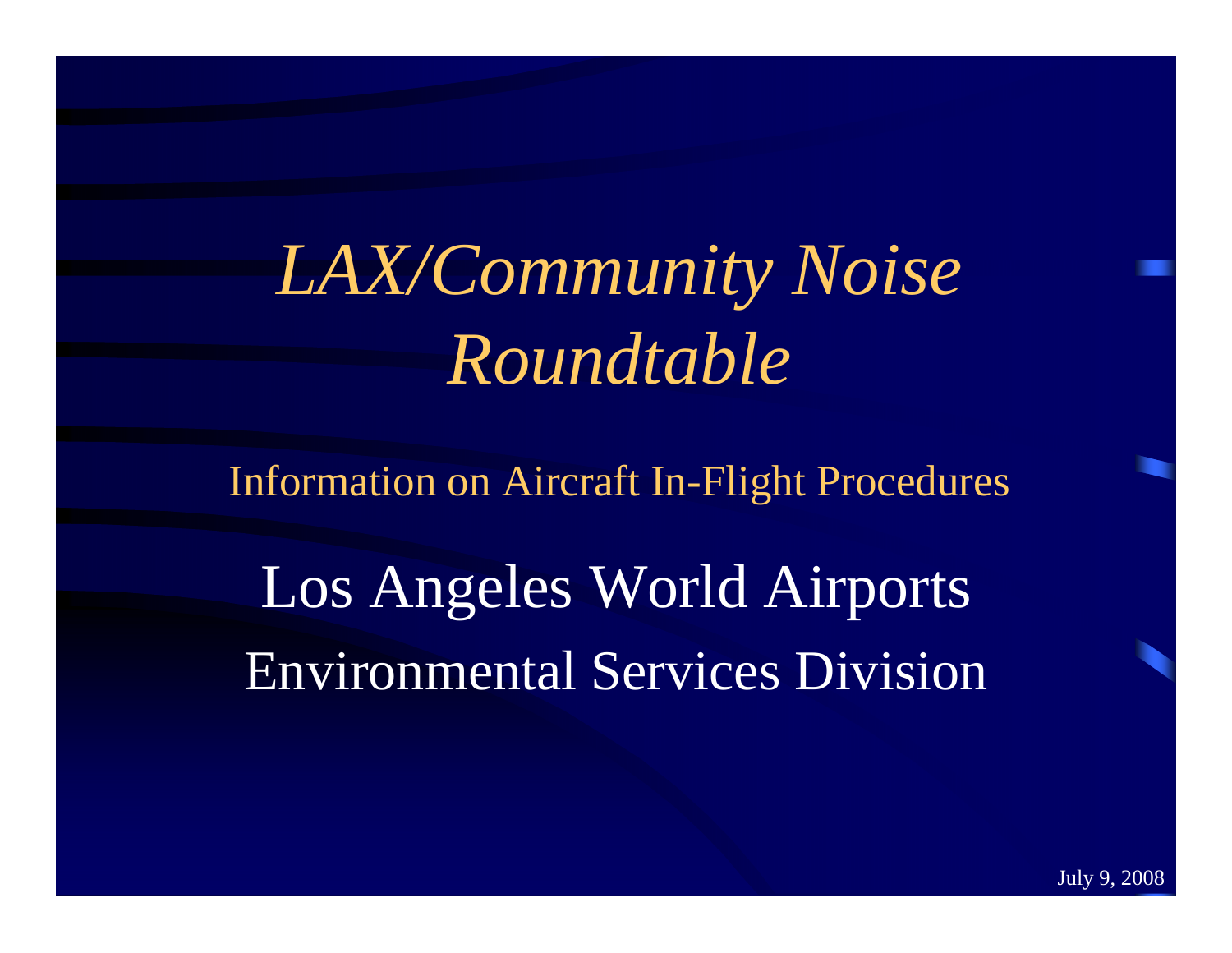*LAX/Community Noise Roundtable* 

Information on Aircraft In-Flight Procedures

Los Angeles World Airports Environmental Services Division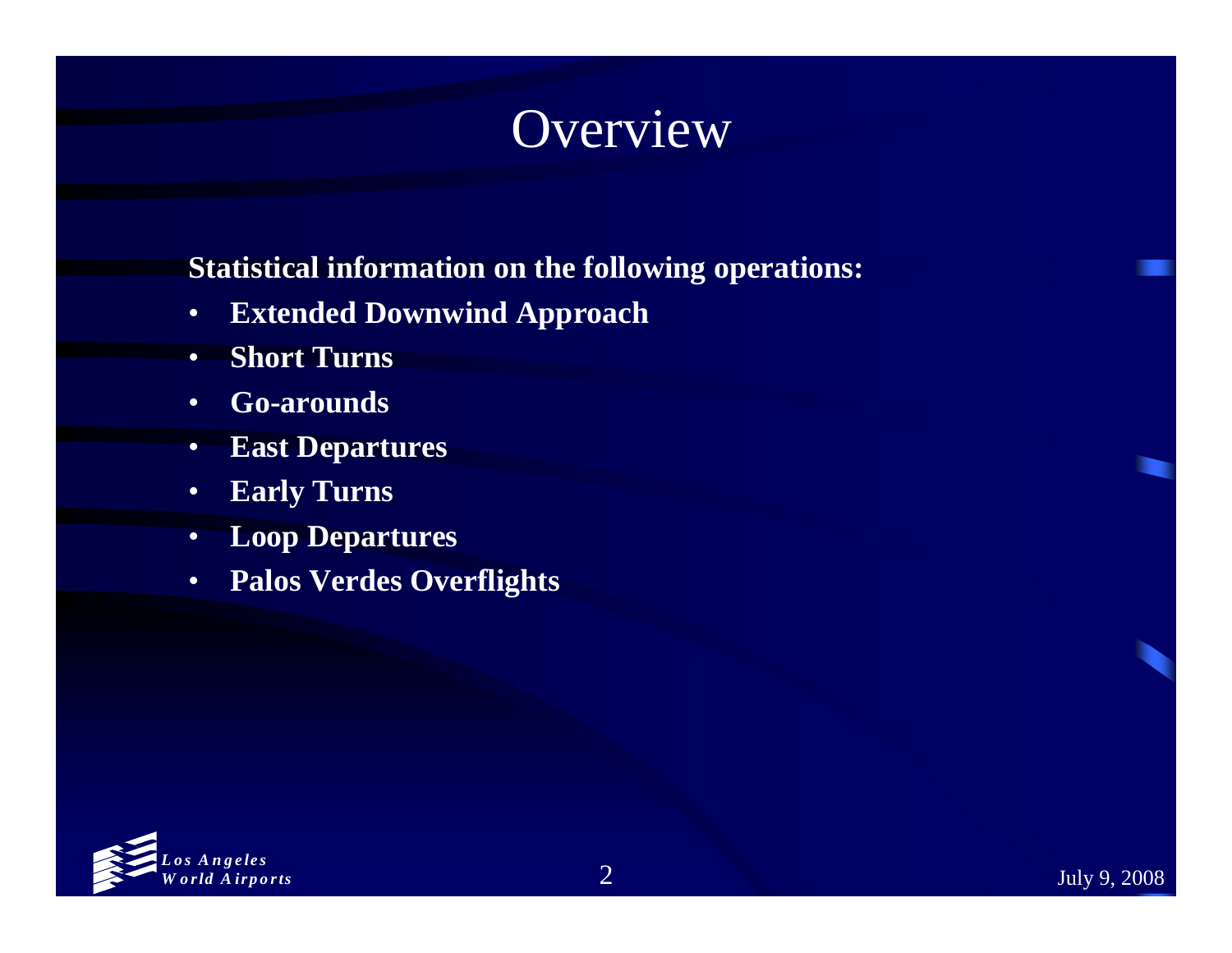# Overview

#### **Statistical information on the following operations:**

- •**Extended Downwind Approach**
- $\bullet$ **Short Turns**
- •**Go-arounds**
- •**East Departures**
- •**Early Turns**
- •**Loop Departures**
- •**Palos Verdes Overflights**

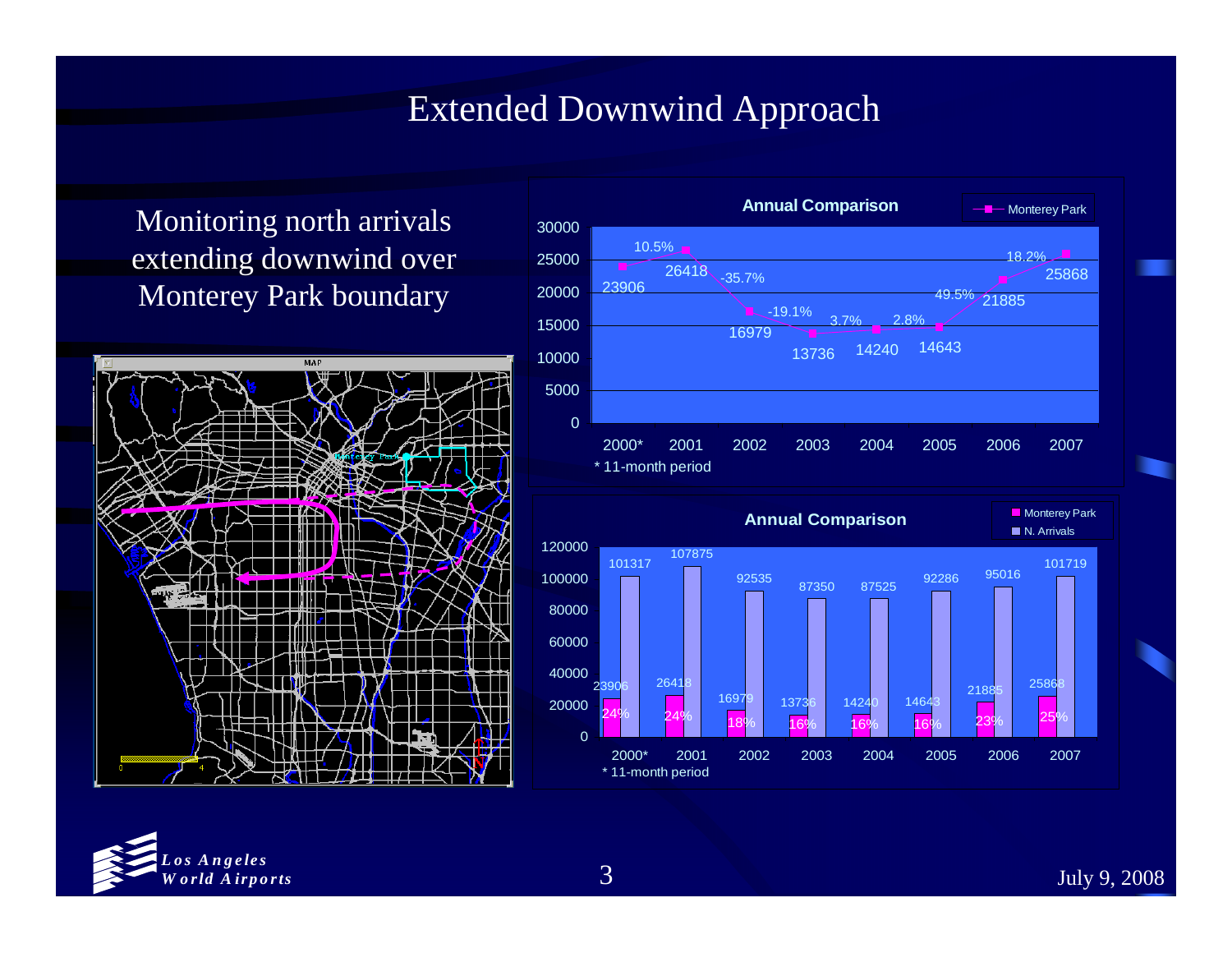#### Extended Downwind Approach

Monitoring north arrivals extending downwind over Monterey Park boundary







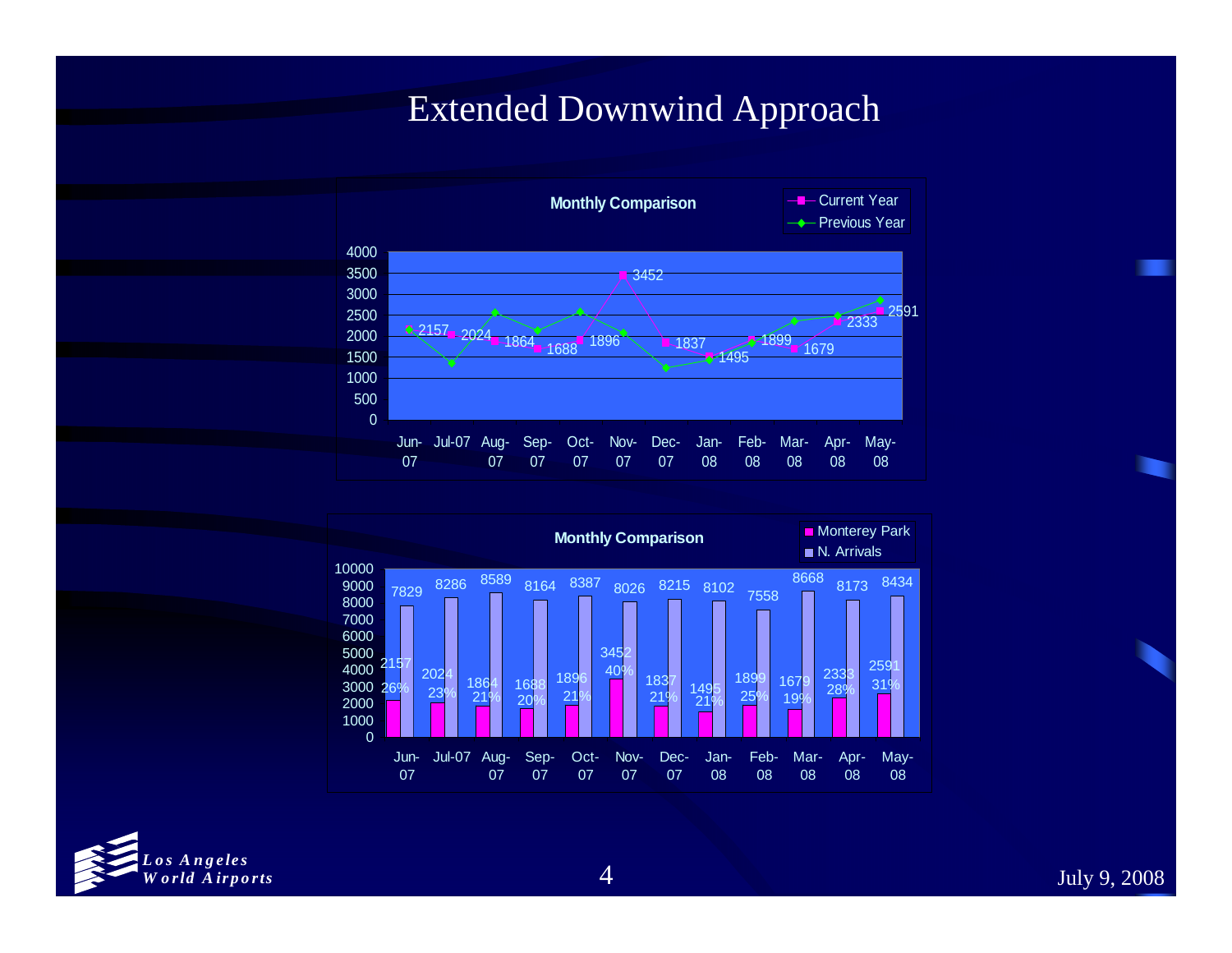#### Extended Downwind Approach





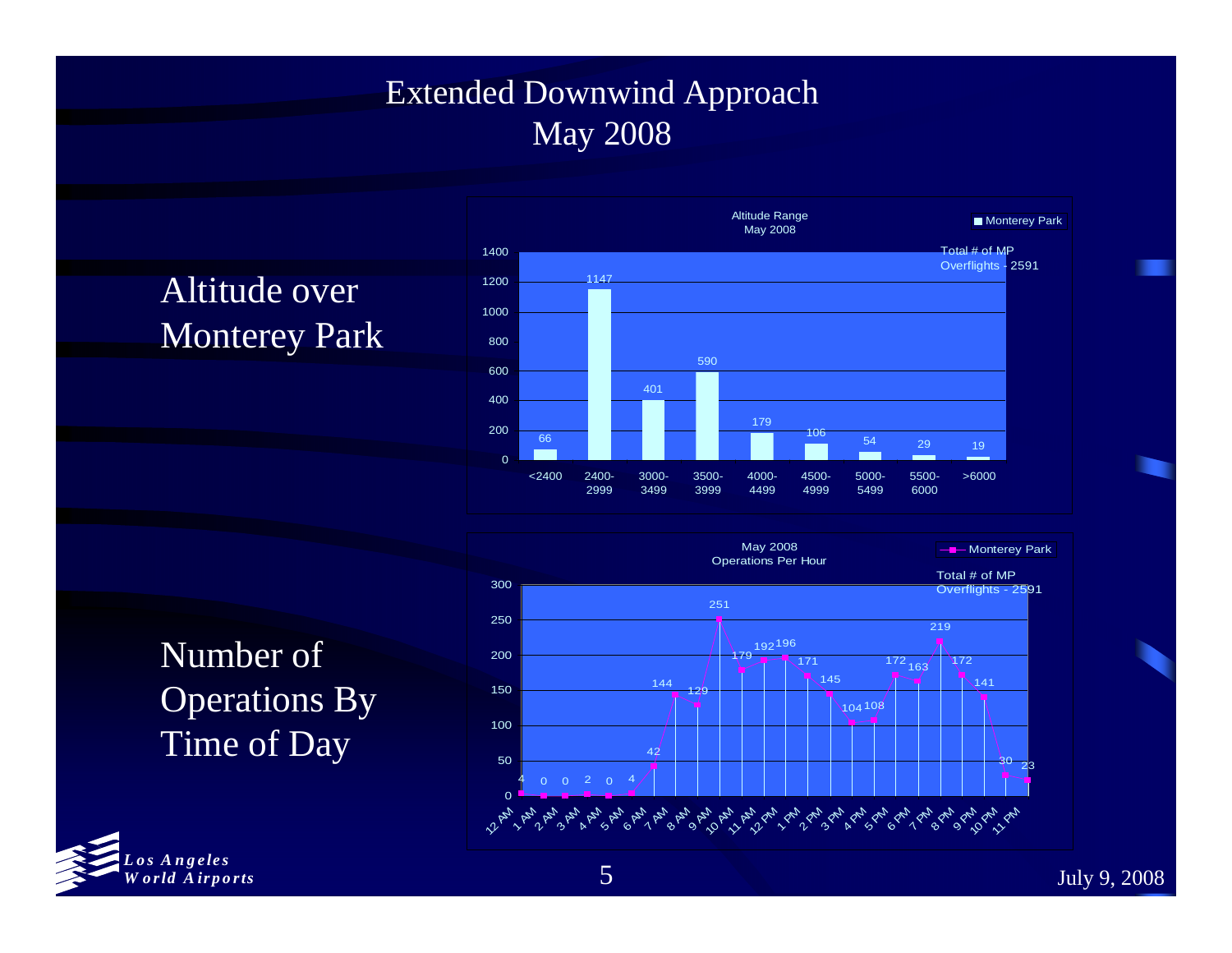#### Extended Downwind Approach May 2008

## Altitude over Monterey Park







*Los Angeles W orld Airports*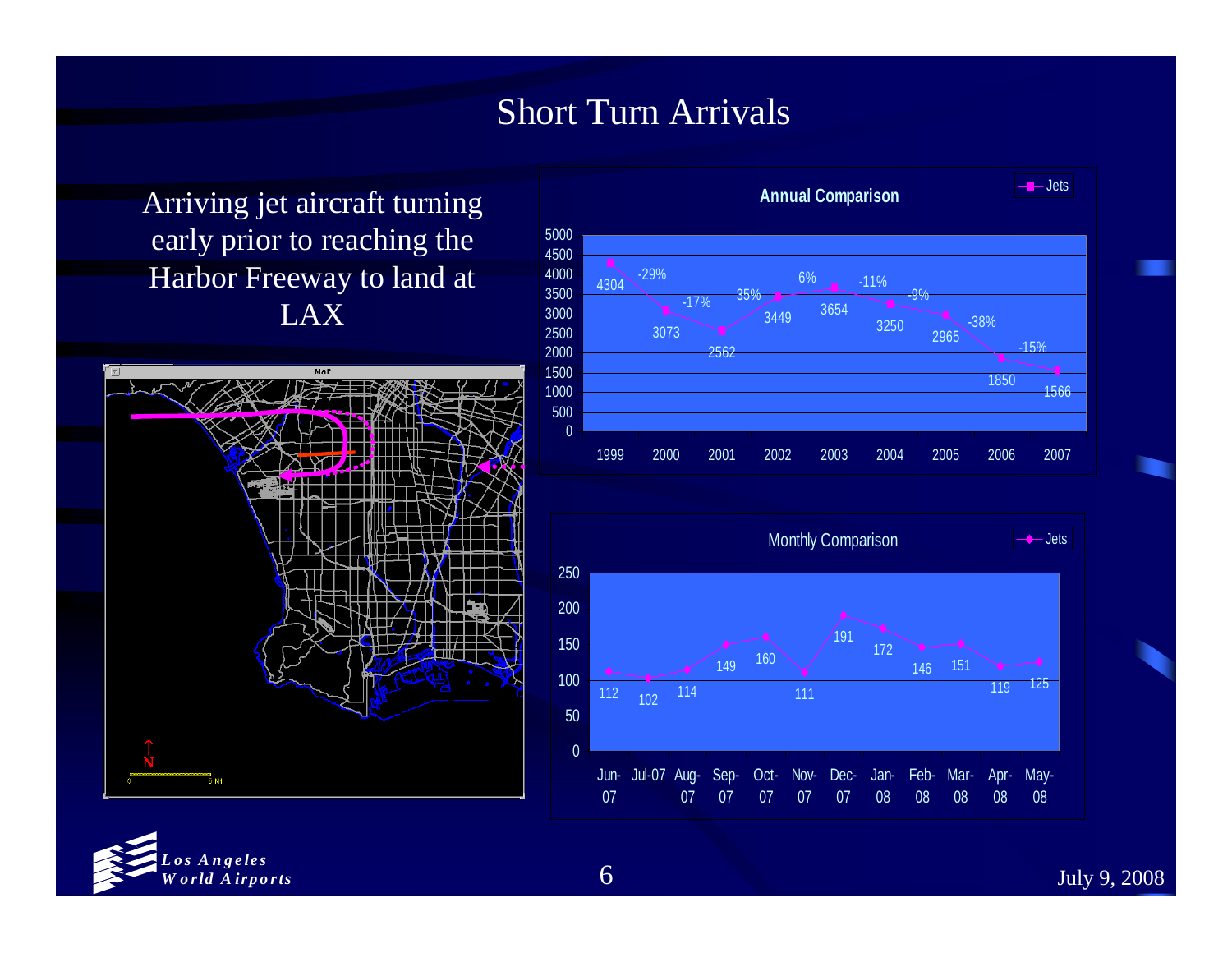#### Short Turn Arrivals

Arriving jet aircraft turning early prior to reaching the Harbor Freeway to land at LAX







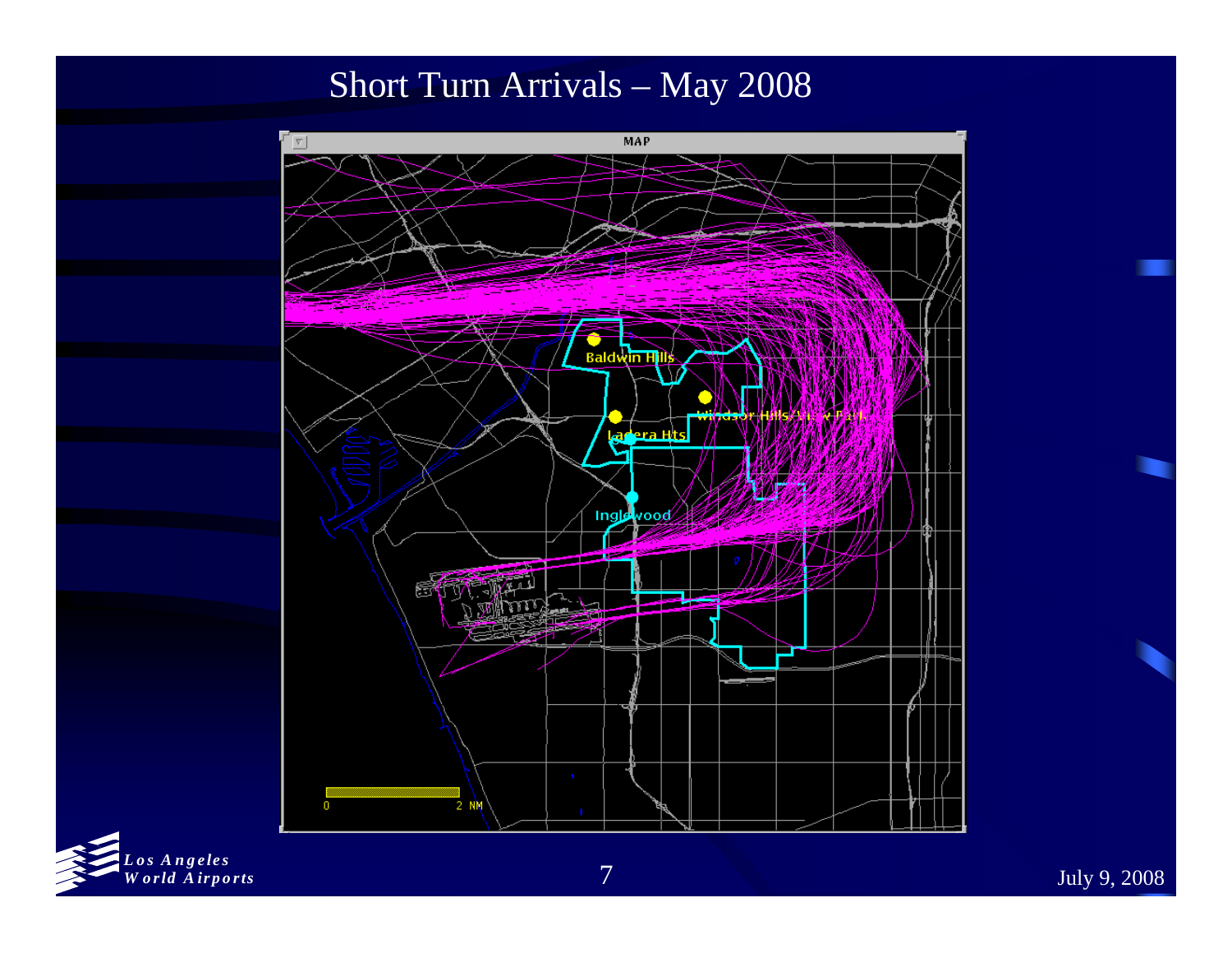Short Turn Arrivals – May 2008



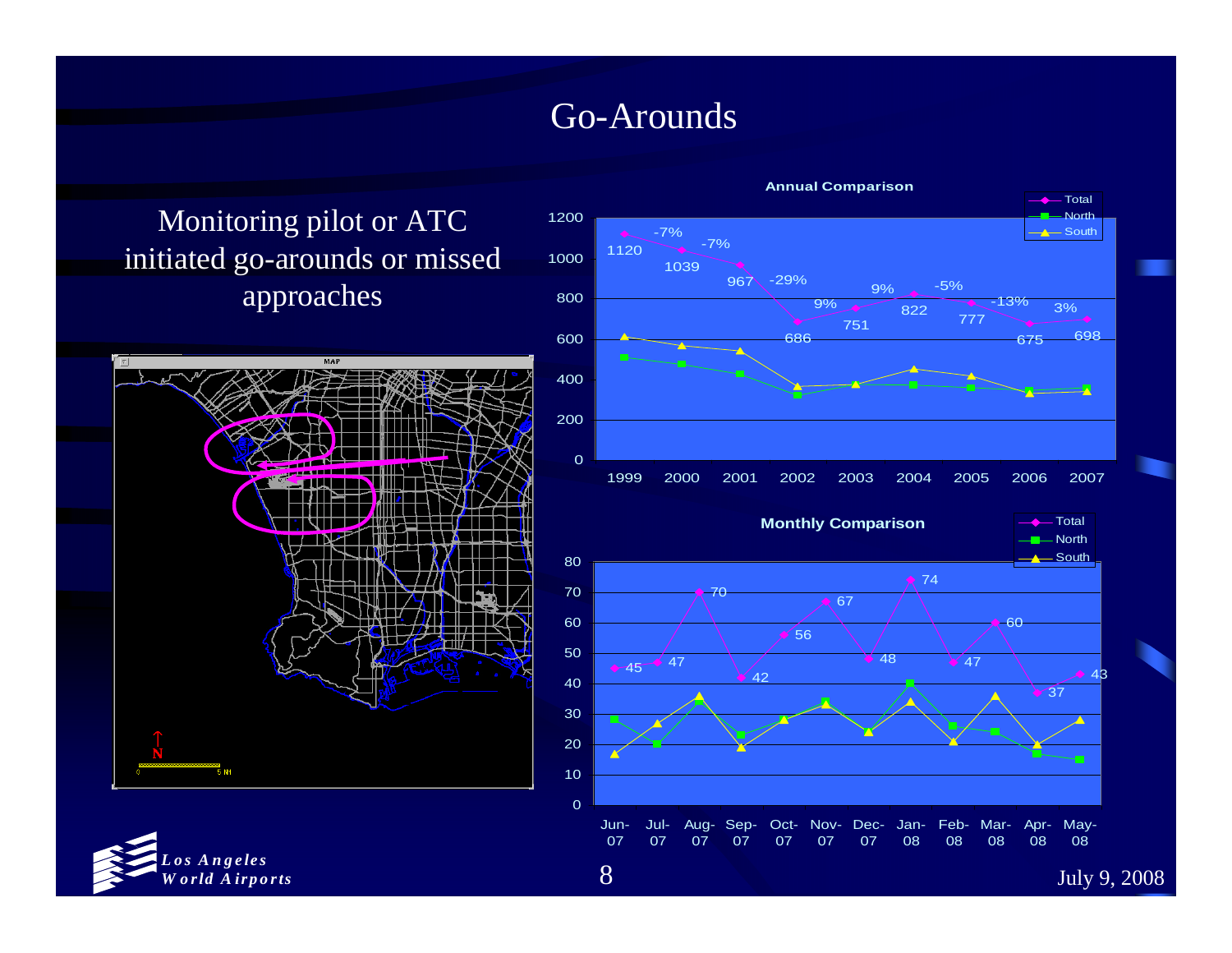#### Go-Arounds

Monitoring pilot or ATC initiated go-arounds or missed approaches





n- Jul- Aug- Sep- Oct- Nov- Dec- Jan- Feb- Mar- Apr- May-<br>7 07 07 07 07 07 08 08 08 08 08



8

Jun-07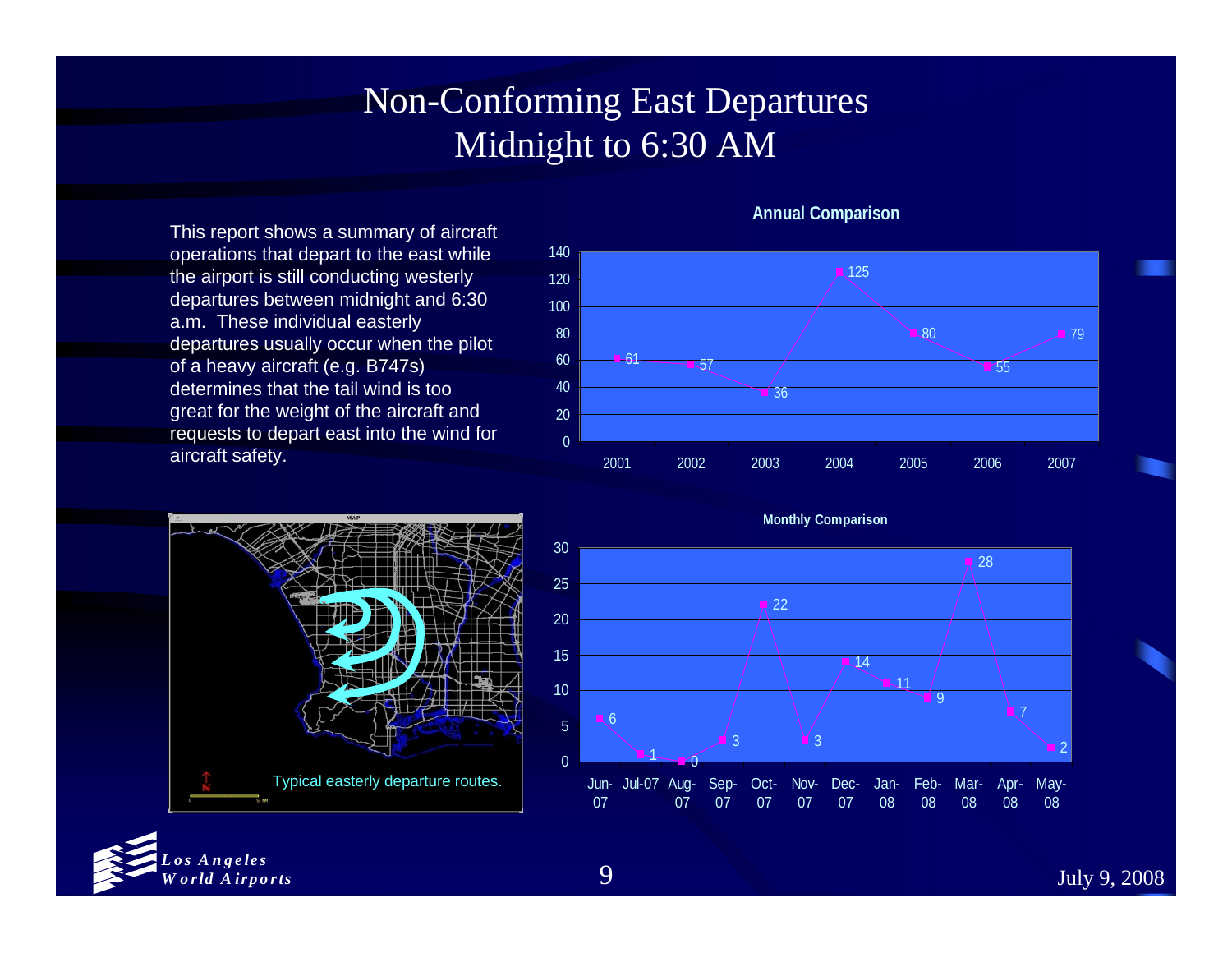## Non-Conforming East Departures Midnight to 6:30 AM

This report shows a summary of aircraft operations that depart to the east while the airport is still conducting westerly departures between midnight and 6:30 a.m. These individual easterly departures usually occur when the pilot of a heavy aircraft (e.g. B747s) determines that the tail wind is too great for the weight of the aircraft and requests to depart east into the wind for aircraft safety.



**Monthly Comparison**

#### **Annual Comparison**







July 9, 2008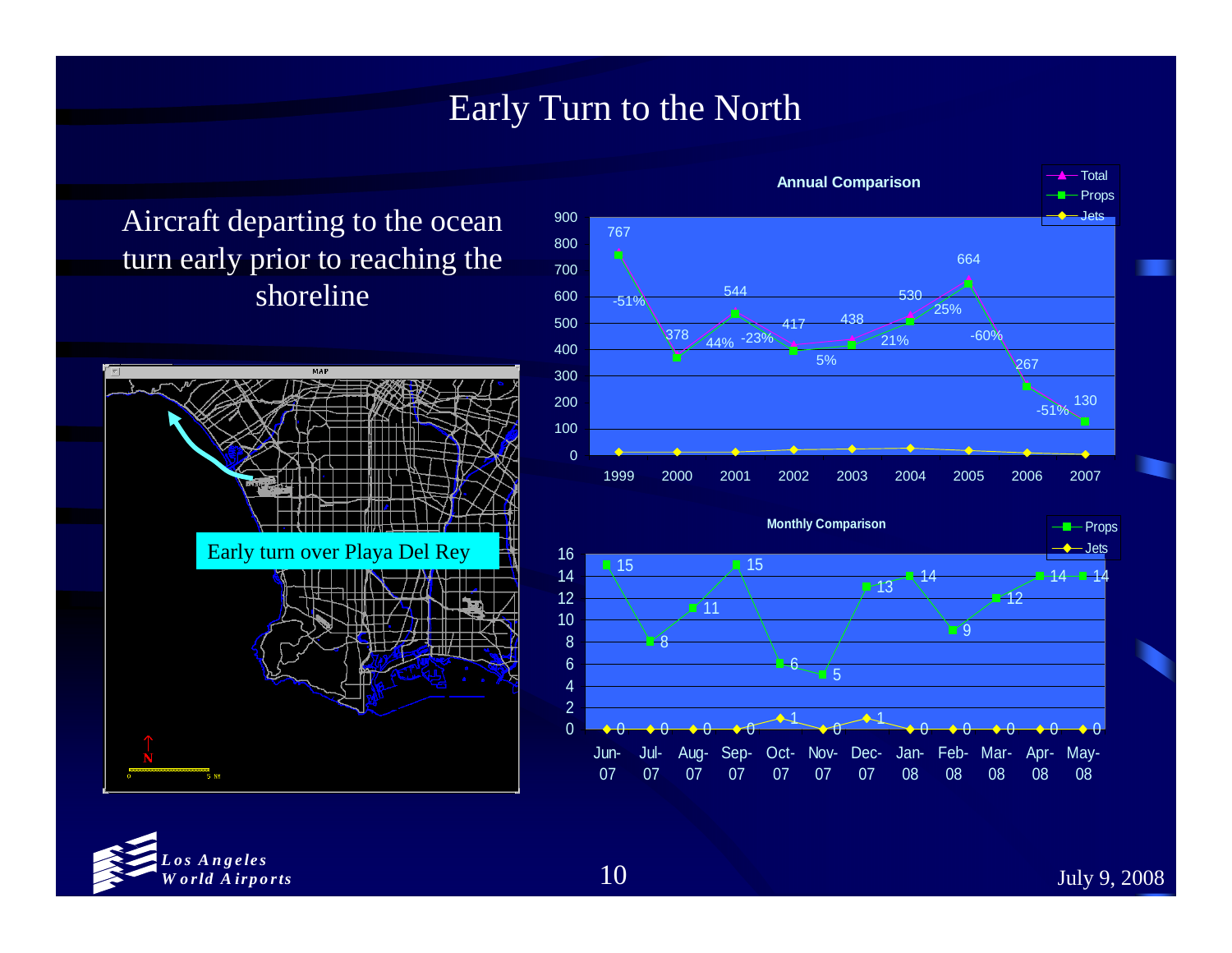#### Early Turn to the North

Aircraft departing to the ocean turn early prior to reaching the shoreline









July 9, 2008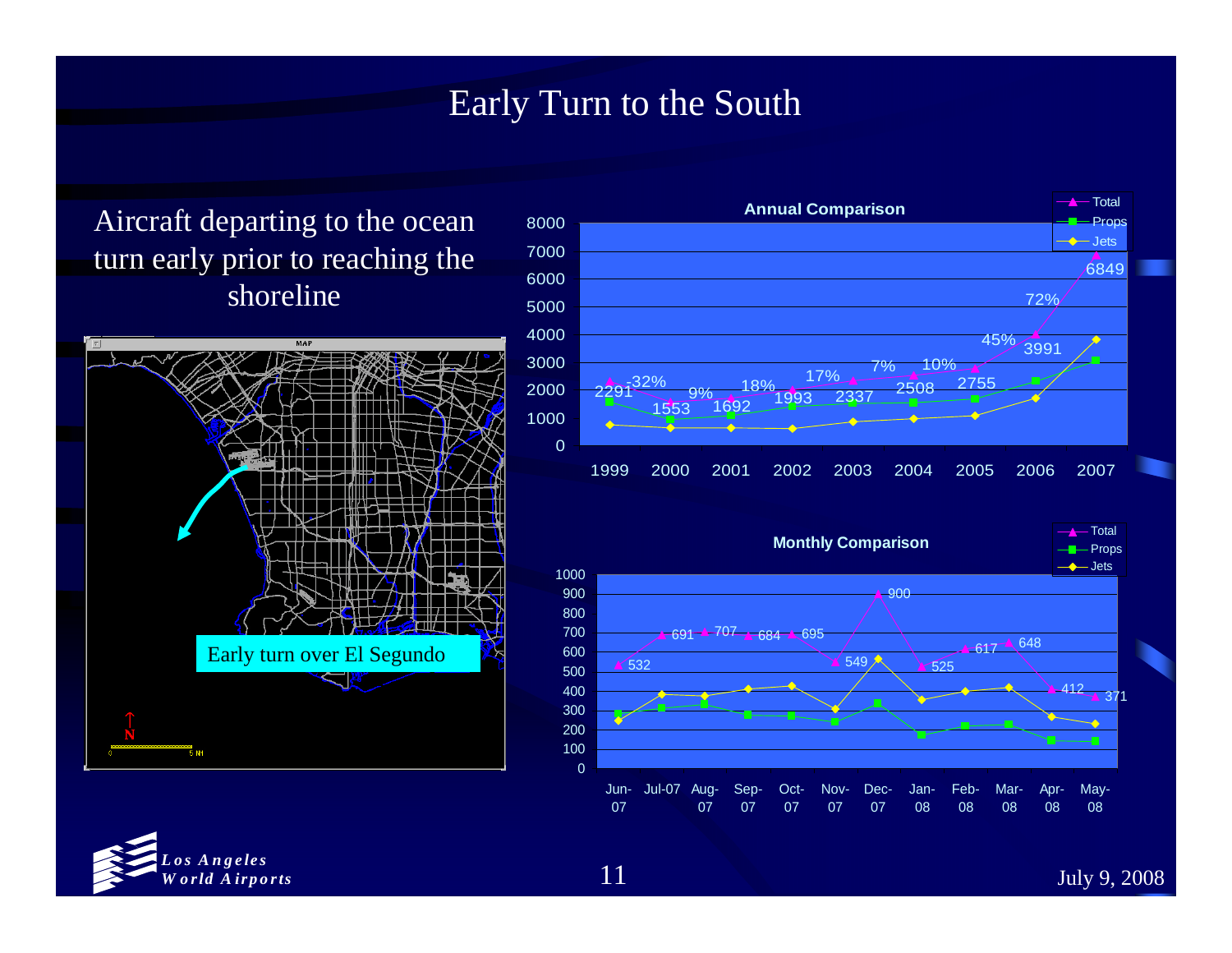#### Early Turn to the South

#### Aircraft departing to the ocean turn early prior to reaching the shoreline







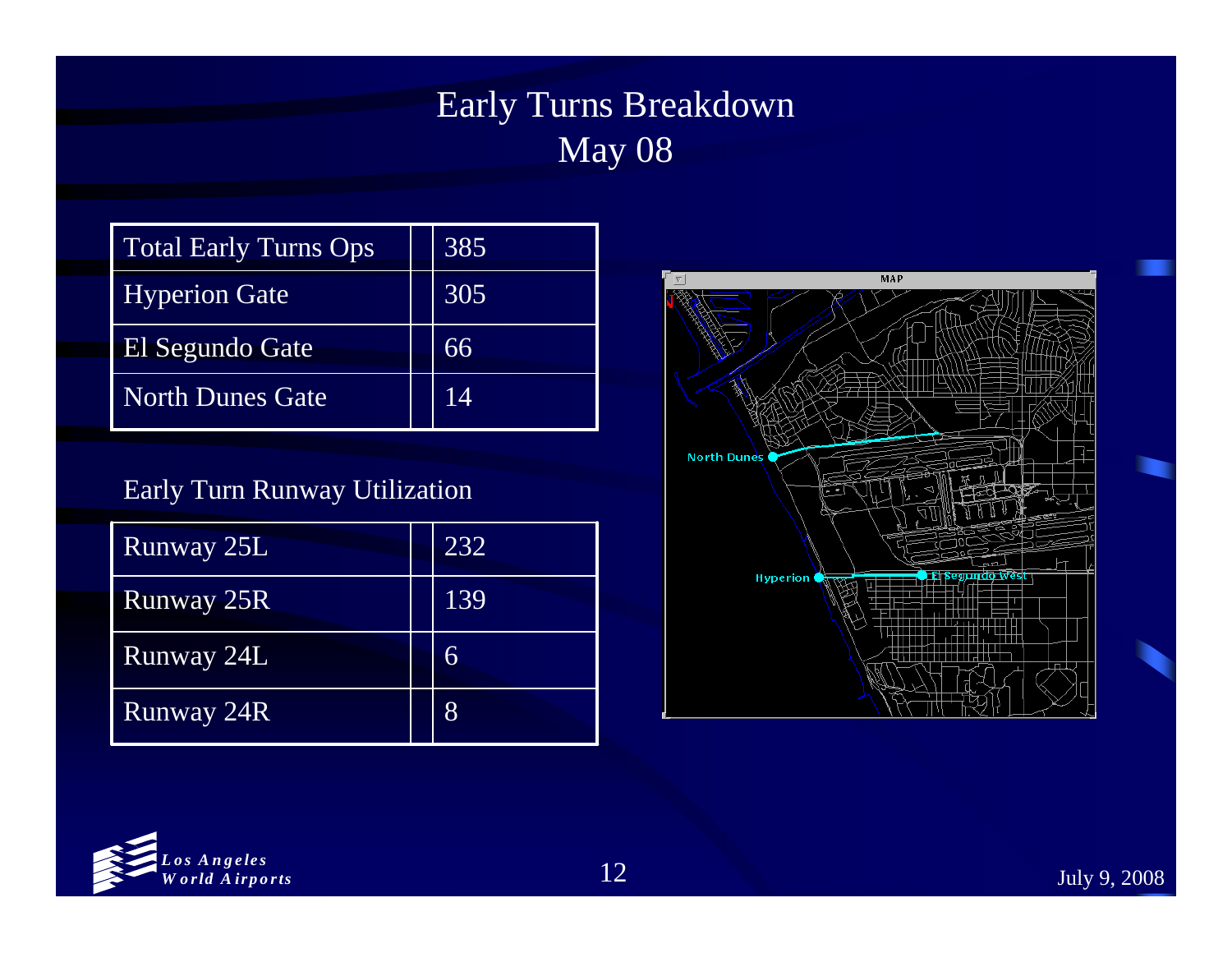## Early Turns Breakdown May 08

| <b>Total Early Turns Ops</b> | 385 |
|------------------------------|-----|
| <b>Hyperion Gate</b>         | 305 |
| El Segundo Gate              | 66  |
| <b>North Dunes Gate</b>      | 14  |

#### Early Turn Runway Utilization

| <b>Runway 25L</b> | 232              |
|-------------------|------------------|
| <b>Runway 25R</b> | $\overline{139}$ |
| Runway 24L        | 6                |
| Runway 24R        | 8                |



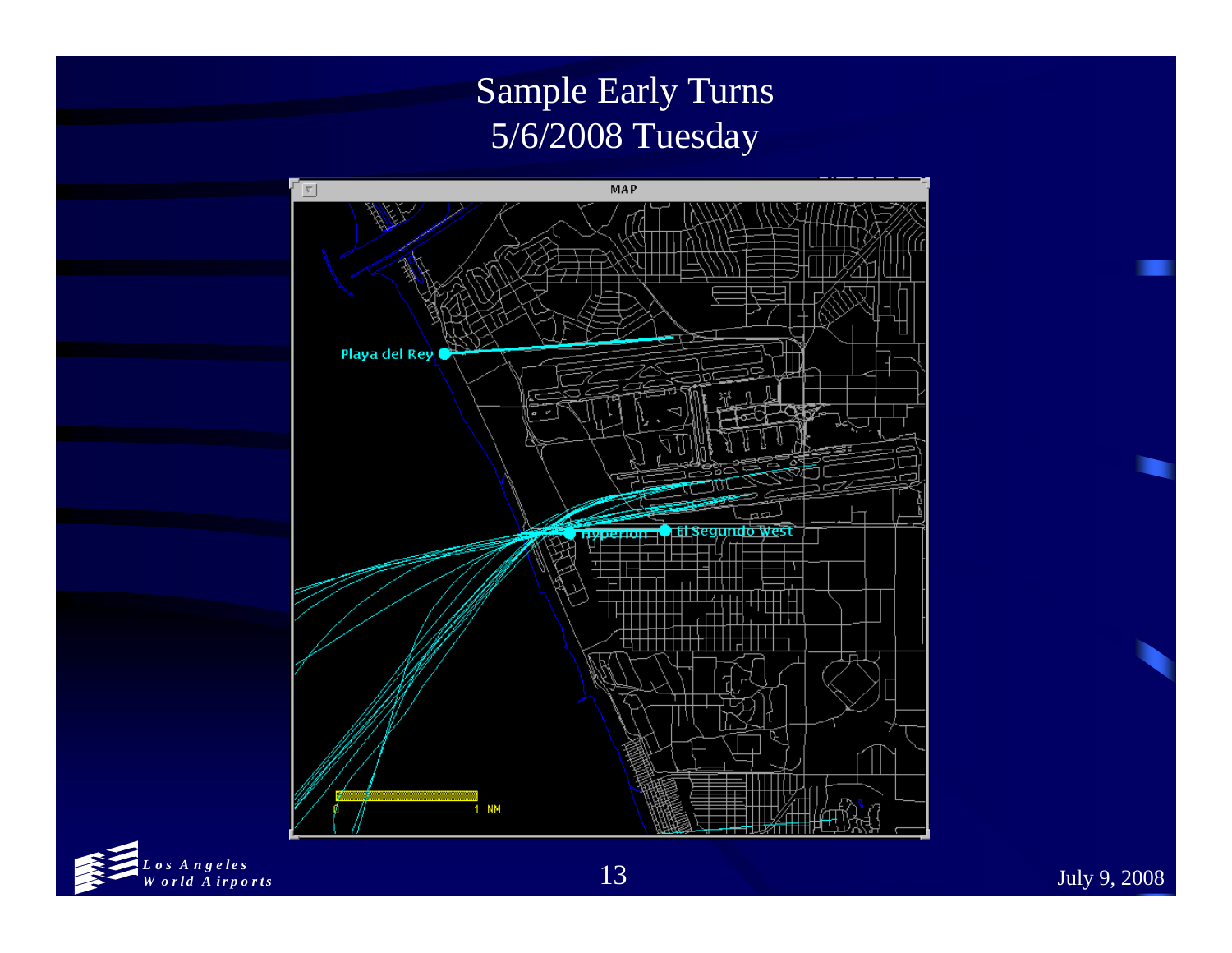## Sample Early Turns 5/6/2008 Tuesday



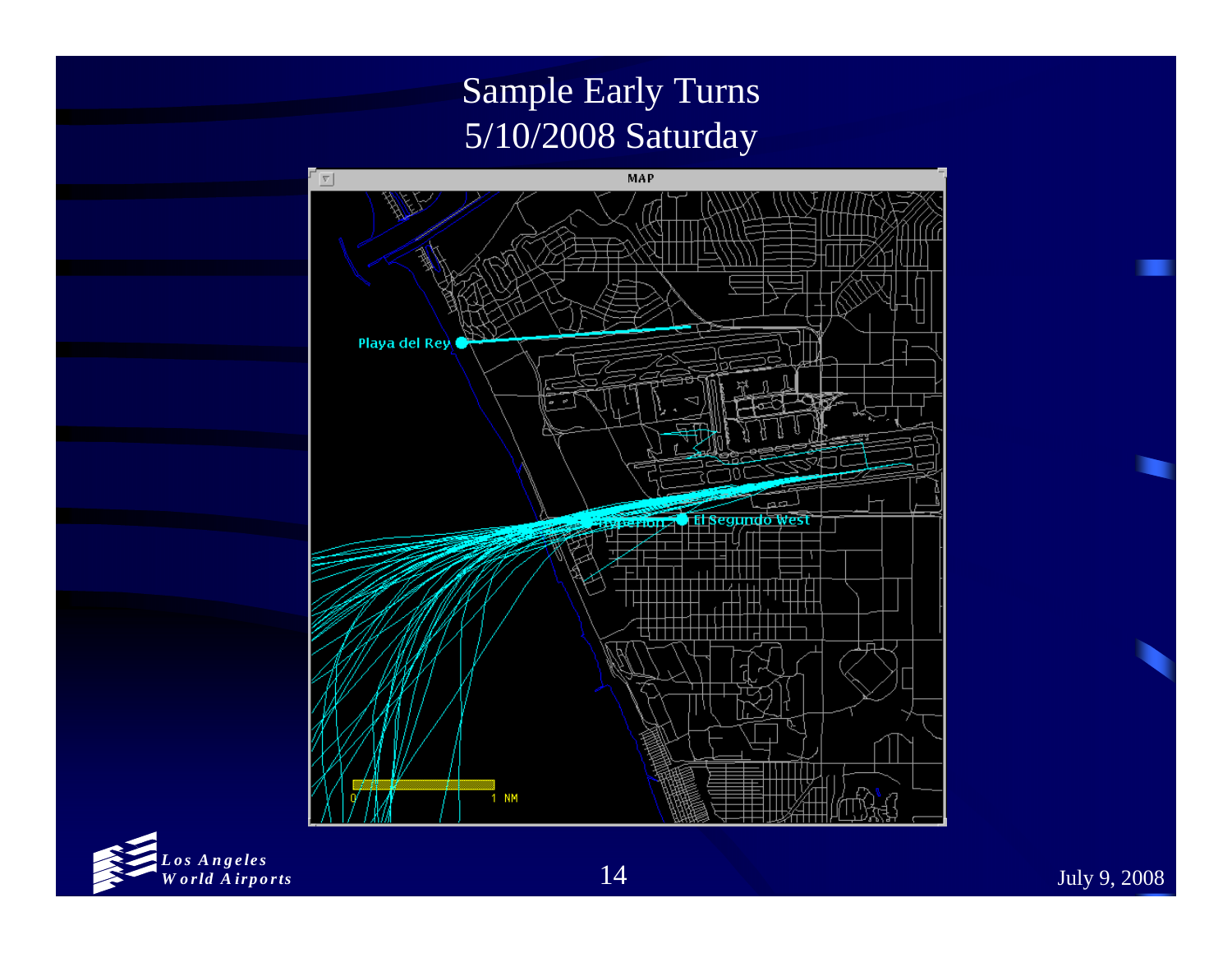## Sample Early Turns 5/10/2008 Saturday



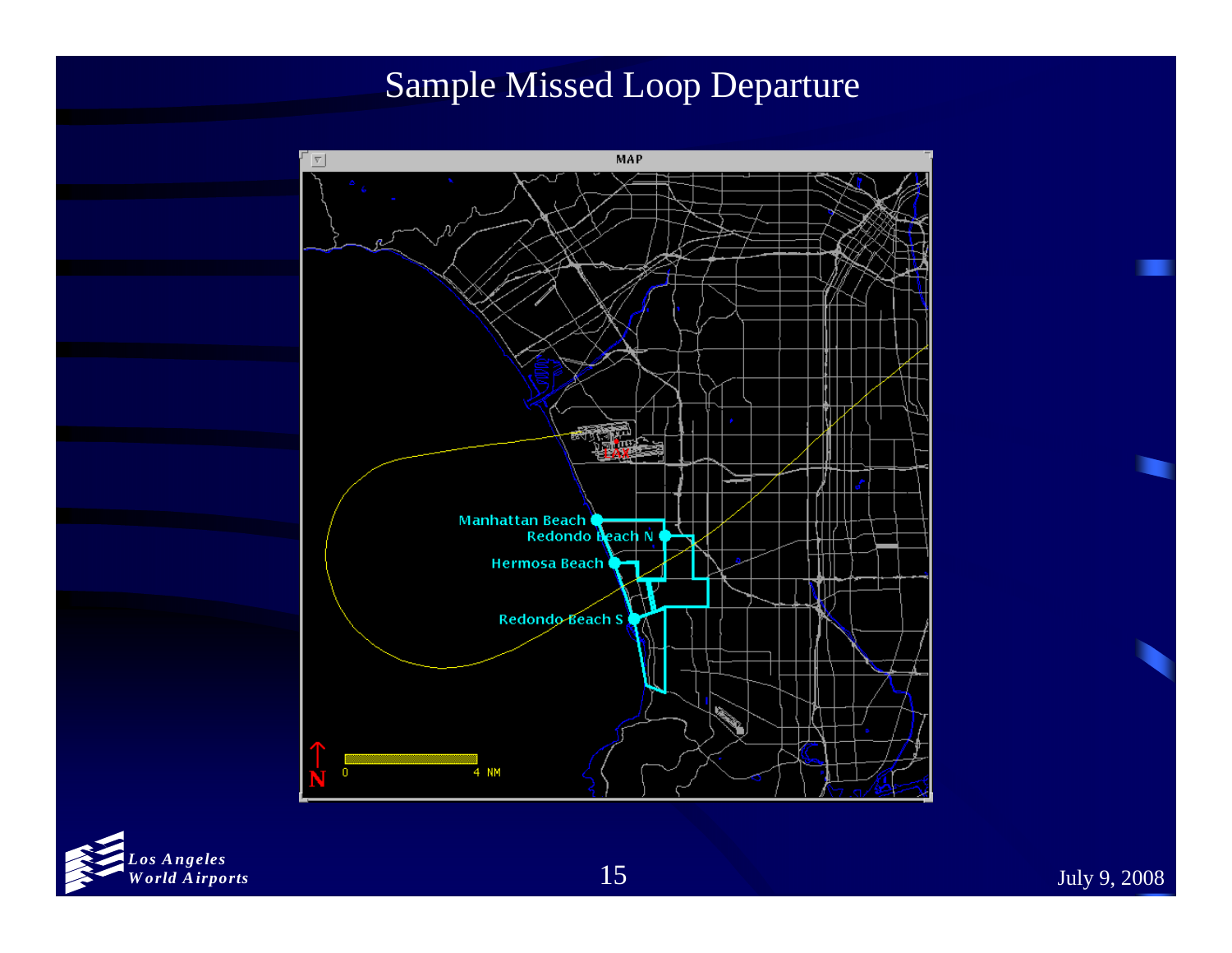#### Sample Missed Loop Departure



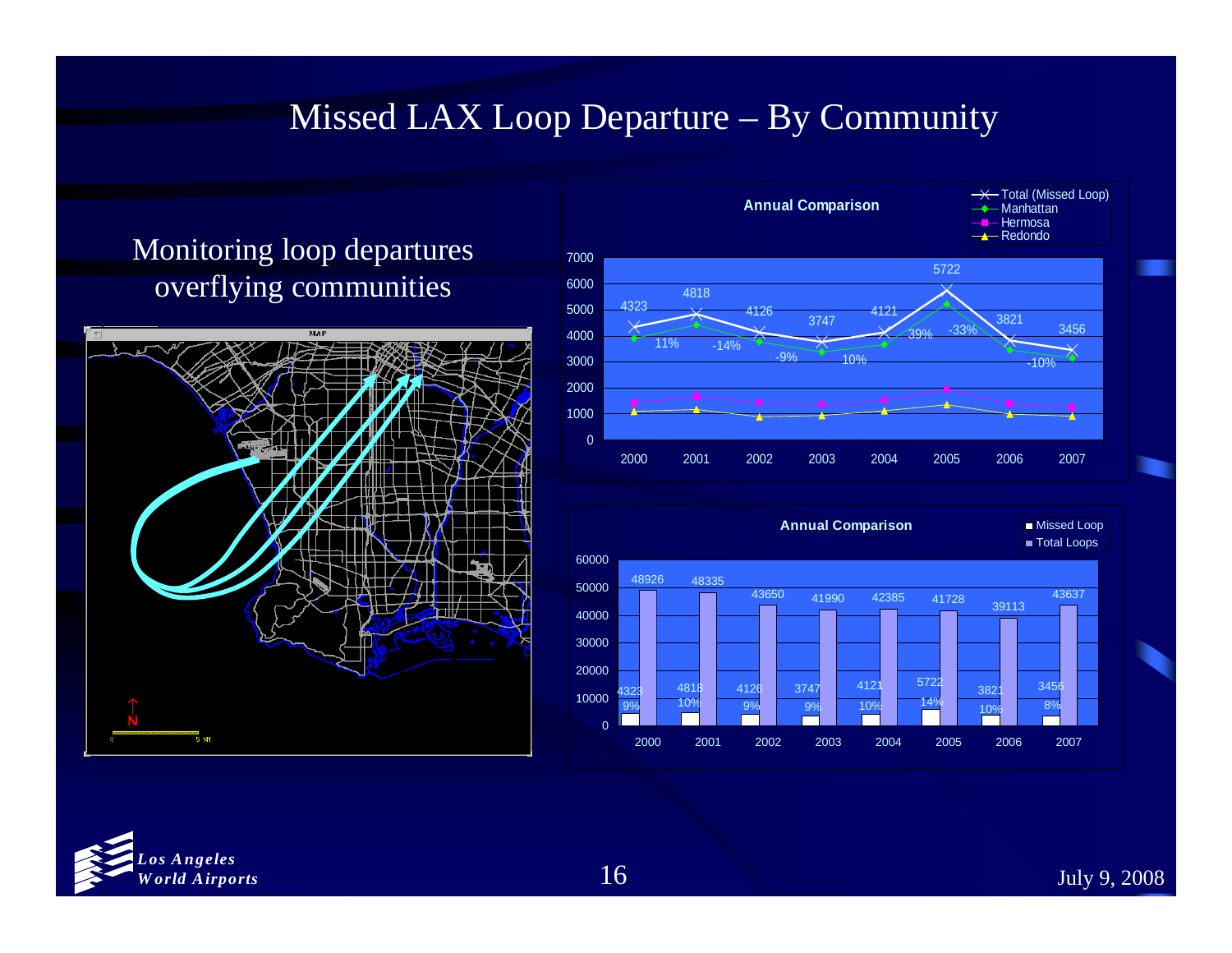#### Missed LAX Loop Departure – By Community

#### Monitoring loop departures overflying communities







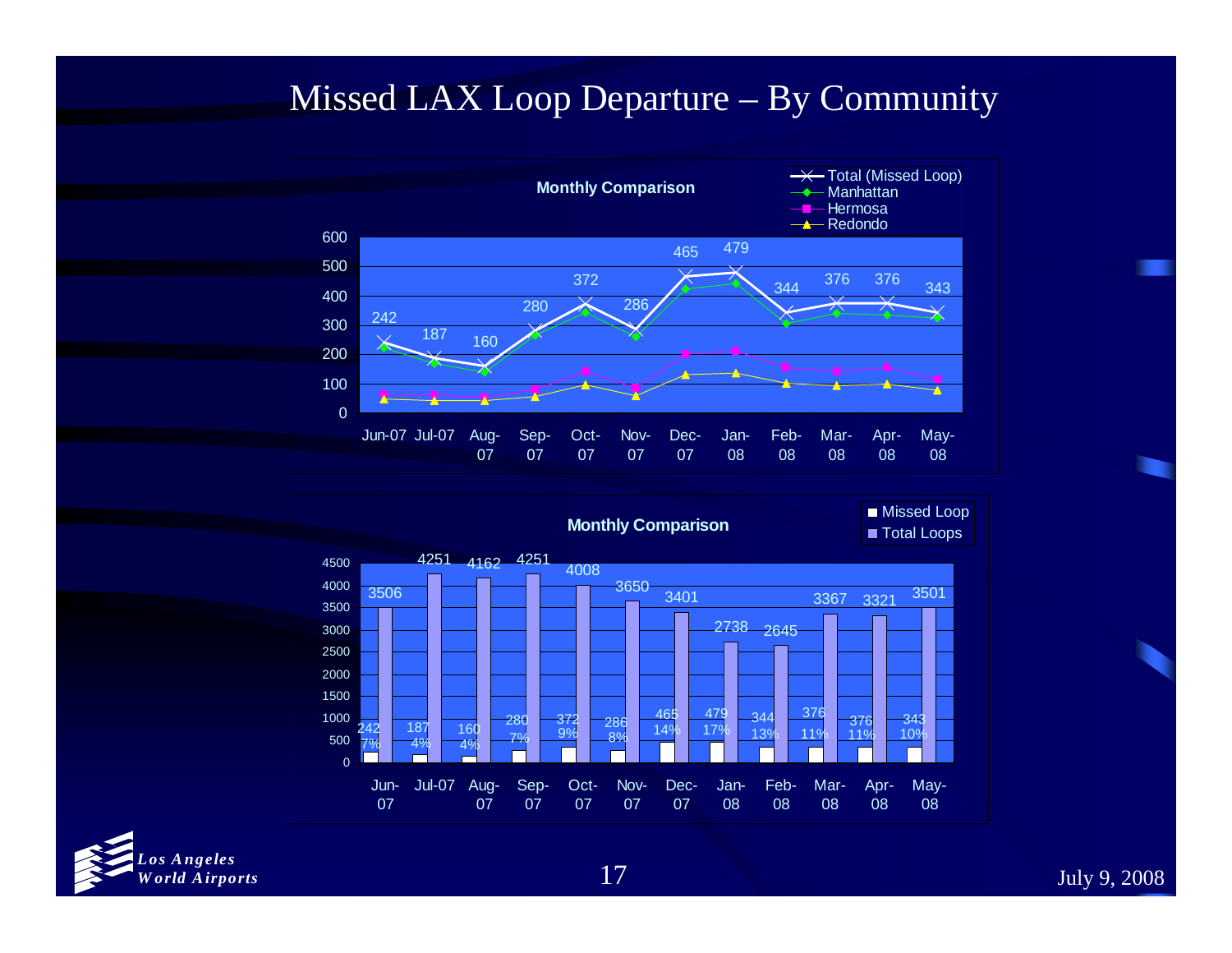#### Missed LAX Loop Departure – By Community





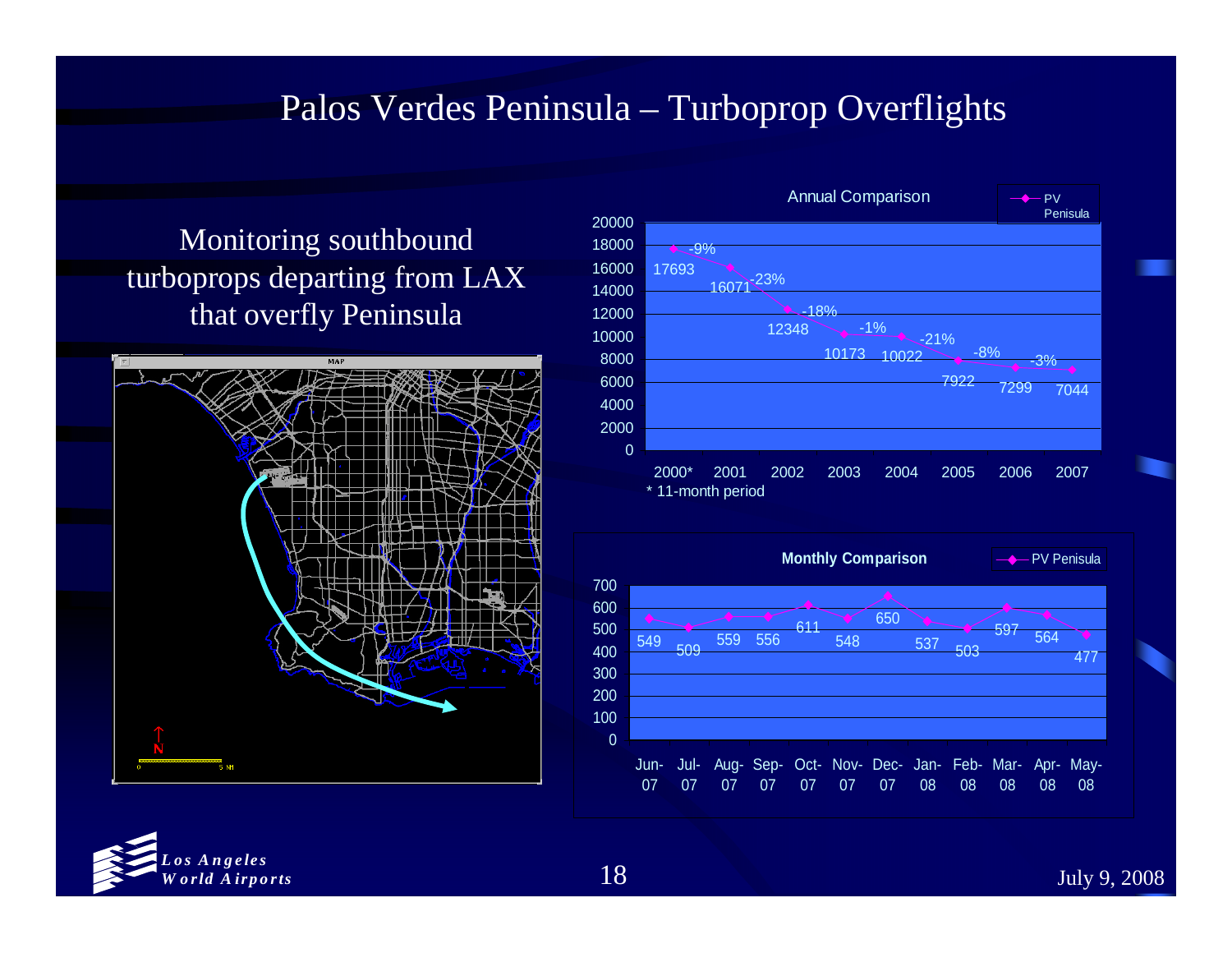#### Palos Verdes Peninsula – Turboprop Overflights

#### Monitoring southbound turboprops departing from LAX that overfly Peninsula